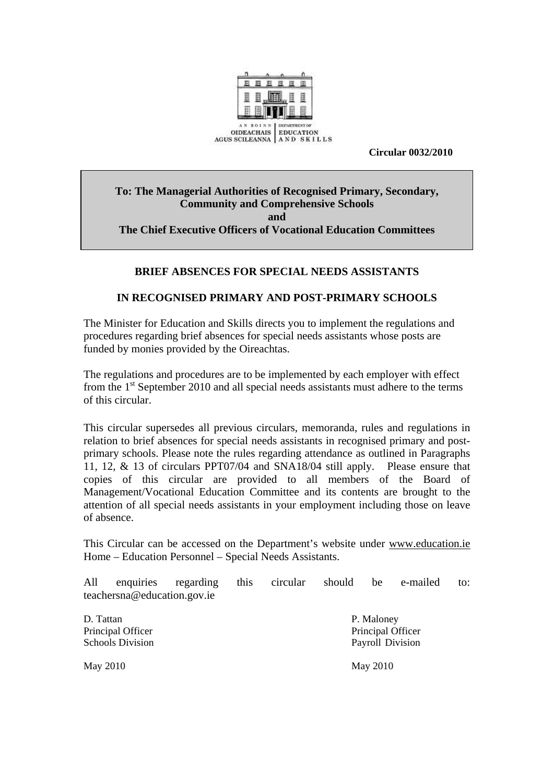

 **Circular 0032/2010** 

### **To: The Managerial Authorities of Recognised Primary, Secondary, Community and Comprehensive Schools and The Chief Executive Officers of Vocational Education Committees**

# **BRIEF ABSENCES FOR SPECIAL NEEDS ASSISTANTS**

### **IN RECOGNISED PRIMARY AND POST-PRIMARY SCHOOLS**

The Minister for Education and Skills directs you to implement the regulations and procedures regarding brief absences for special needs assistants whose posts are funded by monies provided by the Oireachtas.

The regulations and procedures are to be implemented by each employer with effect from the  $1<sup>st</sup>$  September 2010 and all special needs assistants must adhere to the terms of this circular.

This circular supersedes all previous circulars, memoranda, rules and regulations in relation to brief absences for special needs assistants in recognised primary and postprimary schools. Please note the rules regarding attendance as outlined in Paragraphs 11, 12, & 13 of circulars PPT07/04 and SNA18/04 still apply. Please ensure that copies of this circular are provided to all members of the Board of Management/Vocational Education Committee and its contents are brought to the attention of all special needs assistants in your employment including those on leave of absence.

This Circular can be accessed on the Department's website under [www.education.ie](http://www.education.ie/) Home – Education Personnel – Special Needs Assistants.

All enquiries regarding this circular should be e-mailed to: teachersna@education.gov.ie

D. Tattan P. Maloney Principal Officer Principal Officer Principal Officer Schools Division Payroll Division

May 2010 May 2010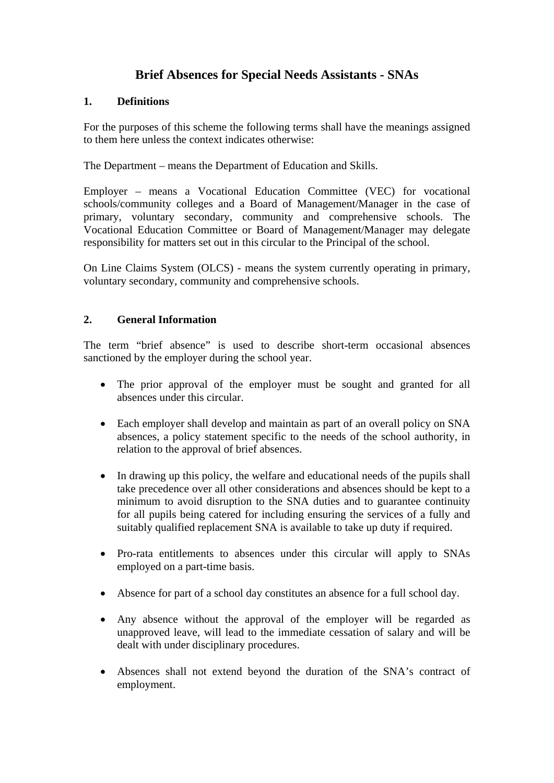# **Brief Absences for Special Needs Assistants - SNAs**

### **1. Definitions**

For the purposes of this scheme the following terms shall have the meanings assigned to them here unless the context indicates otherwise:

The Department – means the Department of Education and Skills.

Employer – means a Vocational Education Committee (VEC) for vocational schools/community colleges and a Board of Management/Manager in the case of primary, voluntary secondary, community and comprehensive schools. The Vocational Education Committee or Board of Management/Manager may delegate responsibility for matters set out in this circular to the Principal of the school.

On Line Claims System (OLCS) - means the system currently operating in primary, voluntary secondary, community and comprehensive schools.

### **2. General Information**

The term "brief absence" is used to describe short-term occasional absences sanctioned by the employer during the school year.

- The prior approval of the employer must be sought and granted for all absences under this circular.
- Each employer shall develop and maintain as part of an overall policy on SNA absences, a policy statement specific to the needs of the school authority, in relation to the approval of brief absences.
- In drawing up this policy, the welfare and educational needs of the pupils shall take precedence over all other considerations and absences should be kept to a minimum to avoid disruption to the SNA duties and to guarantee continuity for all pupils being catered for including ensuring the services of a fully and suitably qualified replacement SNA is available to take up duty if required.
- Pro-rata entitlements to absences under this circular will apply to SNAs employed on a part-time basis.
- Absence for part of a school day constitutes an absence for a full school day.
- Any absence without the approval of the employer will be regarded as unapproved leave, will lead to the immediate cessation of salary and will be dealt with under disciplinary procedures.
- Absences shall not extend beyond the duration of the SNA's contract of employment.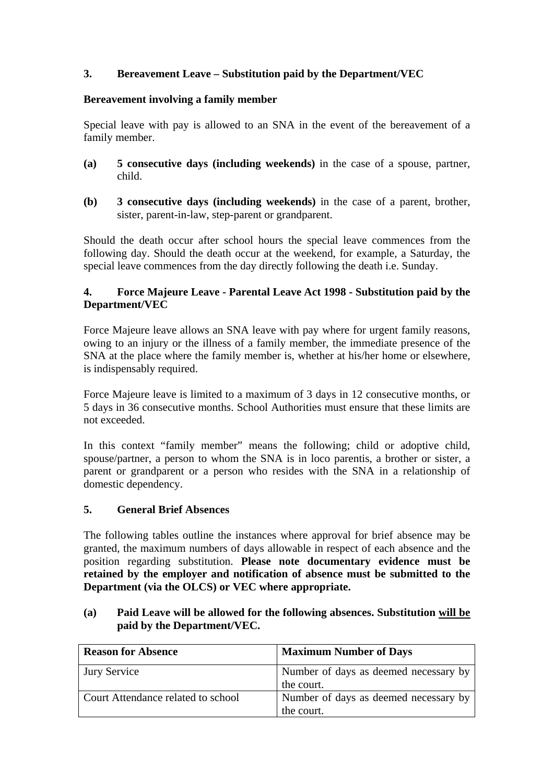# **3. Bereavement Leave – Substitution paid by the Department/VEC**

### **Bereavement involving a family member**

Special leave with pay is allowed to an SNA in the event of the bereavement of a family member.

- **(a) 5 consecutive days (including weekends)** in the case of a spouse, partner, child.
- **(b) 3 consecutive days (including weekends)** in the case of a parent, brother, sister, parent-in-law, step-parent or grandparent.

Should the death occur after school hours the special leave commences from the following day. Should the death occur at the weekend, for example, a Saturday, the special leave commences from the day directly following the death i.e. Sunday.

### **4. Force Majeure Leave - Parental Leave Act 1998 - Substitution paid by the Department/VEC**

Force Majeure leave allows an SNA leave with pay where for urgent family reasons, owing to an injury or the illness of a family member, the immediate presence of the SNA at the place where the family member is, whether at his/her home or elsewhere, is indispensably required.

Force Majeure leave is limited to a maximum of 3 days in 12 consecutive months, or 5 days in 36 consecutive months. School Authorities must ensure that these limits are not exceeded.

In this context "family member" means the following; child or adoptive child, spouse/partner, a person to whom the SNA is in loco parentis, a brother or sister, a parent or grandparent or a person who resides with the SNA in a relationship of domestic dependency.

### **5. General Brief Absences**

The following tables outline the instances where approval for brief absence may be granted, the maximum numbers of days allowable in respect of each absence and the position regarding substitution. **Please note documentary evidence must be retained by the employer and notification of absence must be submitted to the Department (via the OLCS) or VEC where appropriate.** 

### **(a) Paid Leave will be allowed for the following absences. Substitution will be paid by the Department/VEC.**

| <b>Reason for Absence</b>          | <b>Maximum Number of Days</b>         |
|------------------------------------|---------------------------------------|
| <b>Jury Service</b>                | Number of days as deemed necessary by |
|                                    | the court.                            |
| Court Attendance related to school | Number of days as deemed necessary by |
|                                    | the court.                            |